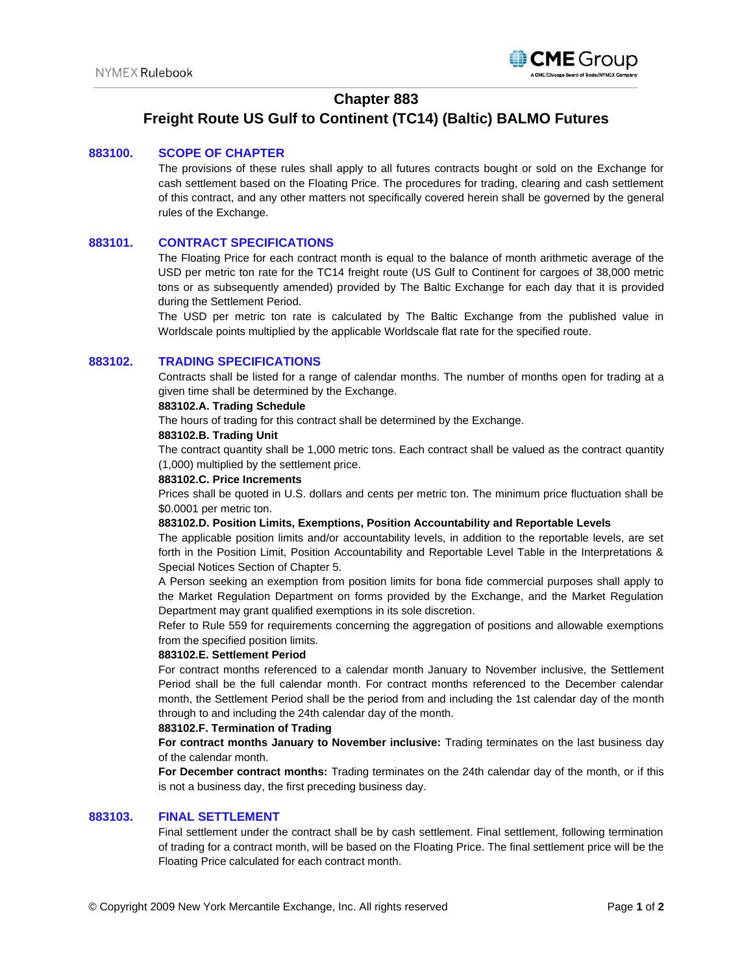

# **Chapter 883**

# **Freight Route US Gulf to Continent (TC14) (Baltic) BALMO Futures**

#### **883100. SCOPE OF CHAPTER**

The provisions of these rules shall apply to all futures contracts bought or sold on the Exchange for cash settlement based on the Floating Price. The procedures for trading, clearing and cash settlement of this contract, and any other matters not specifically covered herein shall be governed by the general rules of the Exchange.

### **883101. CONTRACT SPECIFICATIONS**

The Floating Price for each contract month is equal to the balance of month arithmetic average of the USD per metric ton rate for the TC14 freight route (US Gulf to Continent for cargoes of 38,000 metric tons or as subsequently amended) provided by The Baltic Exchange for each day that it is provided during the Settlement Period.

The USD per metric ton rate is calculated by The Baltic Exchange from the published value in Worldscale points multiplied by the applicable Worldscale flat rate for the specified route.

#### **883102. TRADING SPECIFICATIONS**

Contracts shall be listed for a range of calendar months. The number of months open for trading at a given time shall be determined by the Exchange.

#### **883102.A. Trading Schedule**

The hours of trading for this contract shall be determined by the Exchange.

#### **883102.B. Trading Unit**

The contract quantity shall be 1,000 metric tons. Each contract shall be valued as the contract quantity (1,000) multiplied by the settlement price.

#### **883102.C. Price Increments**

Prices shall be quoted in U.S. dollars and cents per metric ton. The minimum price fluctuation shall be \$0.0001 per metric ton.

#### **883102.D. Position Limits, Exemptions, Position Accountability and Reportable Levels**

The applicable position limits and/or accountability levels, in addition to the reportable levels, are set forth in the Position Limit, Position Accountability and Reportable Level Table in the Interpretations & Special Notices Section of Chapter 5.

A Person seeking an exemption from position limits for bona fide commercial purposes shall apply to the Market Regulation Department on forms provided by the Exchange, and the Market Regulation Department may grant qualified exemptions in its sole discretion.

Refer to Rule 559 for requirements concerning the aggregation of positions and allowable exemptions from the specified position limits.

#### **883102.E. Settlement Period**

For contract months referenced to a calendar month January to November inclusive, the Settlement Period shall be the full calendar month. For contract months referenced to the December calendar month, the Settlement Period shall be the period from and including the 1st calendar day of the month through to and including the 24th calendar day of the month.

#### **883102.F. Termination of Trading**

**For contract months January to November inclusive:** Trading terminates on the last business day of the calendar month.

**For December contract months:** Trading terminates on the 24th calendar day of the month, or if this is not a business day, the first preceding business day.

#### **883103. FINAL SETTLEMENT**

Final settlement under the contract shall be by cash settlement. Final settlement, following termination of trading for a contract month, will be based on the Floating Price. The final settlement price will be the Floating Price calculated for each contract month.